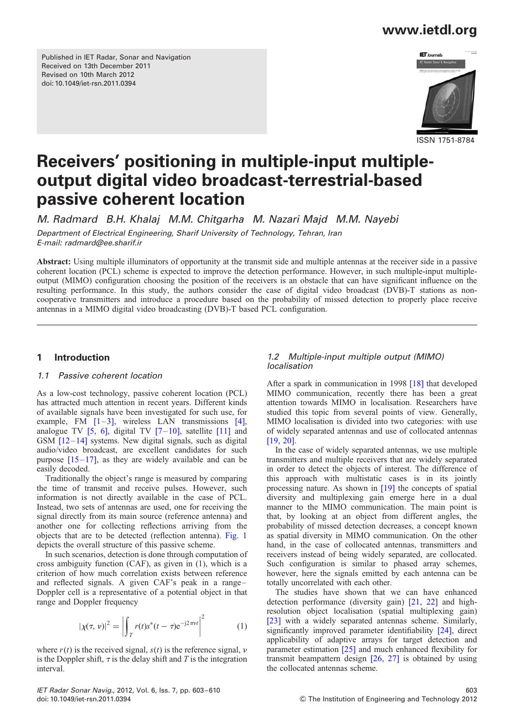Published in IET Radar, Sonar and Navigation Received on 13th December 2011 Revised on 10th March 2012 doi: 10.1049/iet-rsn.2011.0394



ISSN 1751-8784

# Receivers' positioning in multiple-input multipleoutput digital video broadcast-terrestrial-based passive coherent location

M. Radmard B.H. Khalaj M.M. Chitgarha M. Nazari Majd M.M. Nayebi

Department of Electrical Engineering, Sharif University of Technology, Tehran, Iran E-mail: radmard@ee.sharif.ir

Abstract: Using multiple illuminators of opportunity at the transmit side and multiple antennas at the receiver side in a passive coherent location (PCL) scheme is expected to improve the detection performance. However, in such multiple-input multipleoutput (MIMO) configuration choosing the position of the receivers is an obstacle that can have significant influence on the resulting performance. In this study, the authors consider the case of digital video broadcast (DVB)-T stations as noncooperative transmitters and introduce a procedure based on the probability of missed detection to properly place receive antennas in a MIMO digital video broadcasting (DVB)-T based PCL configuration.

### 1 Introduction

### 1.1 Passive coherent location

As a low-cost technology, passive coherent location (PCL) has attracted much attention in recent years. Different kinds of available signals have been investigated for such use, for example, FM  $[1-3]$ , wireless LAN transmissions  $[4]$ , analogue TV  $[5, 6]$ , digital TV  $[7-10]$ , satellite  $[11]$  and GSM  $[12-14]$  systems. New digital signals, such as digital audio/video broadcast, are excellent candidates for such purpose  $[15-17]$ , as they are widely available and can be easily decoded.

Traditionally the object's range is measured by comparing the time of transmit and receive pulses. However, such information is not directly available in the case of PCL. Instead, two sets of antennas are used, one for receiving the signal directly from its main source (reference antenna) and another one for collecting reflections arriving from the objects that are to be detected (reflection antenna). Fig. 1 depicts the overall structure of this passive scheme.

In such scenarios, detection is done through computation of cross ambiguity function (CAF), as given in (1), which is a criterion of how much correlation exists between reference and reflected signals. A given CAF's peak in a range– Doppler cell is a representative of a potential object in that range and Doppler frequency

$$
|\chi(\tau, \nu)|^2 = \left| \int_T r(t) s^*(t-\tau) e^{-j2\pi\nu t} \right|^2 \tag{1}
$$

where  $r(t)$  is the received signal,  $s(t)$  is the reference signal, v is the Doppler shift,  $\tau$  is the delay shift and T is the integration interval.

### 1.2 Multiple-input multiple output (MIMO) localisation

After a spark in communication in 1998 [18] that developed MIMO communication, recently there has been a great attention towards MIMO in localisation. Researchers have studied this topic from several points of view. Generally, MIMO localisation is divided into two categories: with use of widely separated antennas and use of collocated antennas [19, 20].

In the case of widely separated antennas, we use multiple transmitters and multiple receivers that are widely separated in order to detect the objects of interest. The difference of this approach with multistatic cases is in its jointly processing nature. As shown in [19] the concepts of spatial diversity and multiplexing gain emerge here in a dual manner to the MIMO communication. The main point is that, by looking at an object from different angles, the probability of missed detection decreases, a concept known as spatial diversity in MIMO communication. On the other hand, in the case of collocated antennas, transmitters and receivers instead of being widely separated, are collocated. Such configuration is similar to phased array schemes, however, here the signals emitted by each antenna can be totally uncorrelated with each other.

The studies have shown that we can have enhanced detection performance (diversity gain) [21, 22] and highresolution object localisation (spatial multiplexing gain) [23] with a widely separated antennas scheme. Similarly, significantly improved parameter identifiability [24], direct applicability of adaptive arrays for target detection and parameter estimation [25] and much enhanced flexibility for transmit beampattern design [26, 27] is obtained by using the collocated antennas scheme.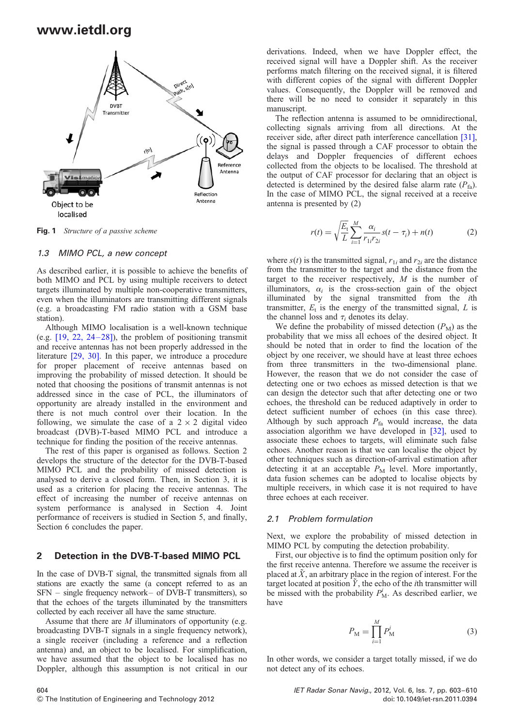

Fig. 1 Structure of a passive scheme

#### 1.3 MIMO PCL, a new concept

As described earlier, it is possible to achieve the benefits of both MIMO and PCL by using multiple receivers to detect targets illuminated by multiple non-cooperative transmitters, even when the illuminators are transmitting different signals (e.g. a broadcasting FM radio station with a GSM base station).

Although MIMO localisation is a well-known technique (e.g.  $[19, 22, 24-28]$ ), the problem of positioning transmit and receive antennas has not been properly addressed in the literature [29, 30]. In this paper, we introduce a procedure for proper placement of receive antennas based on improving the probability of missed detection. It should be noted that choosing the positions of transmit antennas is not addressed since in the case of PCL, the illuminators of opportunity are already installed in the environment and there is not much control over their location. In the following, we simulate the case of a  $2 \times 2$  digital video broadcast (DVB)-T-based MIMO PCL and introduce a technique for finding the position of the receive antennas.

The rest of this paper is organised as follows. Section 2 develops the structure of the detector for the DVB-T-based MIMO PCL and the probability of missed detection is analysed to derive a closed form. Then, in Section 3, it is used as a criterion for placing the receive antennas. The effect of increasing the number of receive antennas on system performance is analysed in Section 4. Joint performance of receivers is studied in Section 5, and finally, Section 6 concludes the paper.

#### 2 Detection in the DVB-T-based MIMO PCL

In the case of DVB-T signal, the transmitted signals from all stations are exactly the same (a concept referred to as an SFN – single frequency network– of DVB-T transmitters), so that the echoes of the targets illuminated by the transmitters collected by each receiver all have the same structure.

Assume that there are  $M$  illuminators of opportunity (e.g. broadcasting DVB-T signals in a single frequency network), a single receiver (including a reference and a reflection antenna) and, an object to be localised. For simplification, we have assumed that the object to be localised has no Doppler, although this assumption is not critical in our

derivations. Indeed, when we have Doppler effect, the received signal will have a Doppler shift. As the receiver performs match filtering on the received signal, it is filtered with different copies of the signal with different Doppler values. Consequently, the Doppler will be removed and there will be no need to consider it separately in this manuscript.

The reflection antenna is assumed to be omnidirectional, collecting signals arriving from all directions. At the receiver side, after direct path interference cancellation [31], the signal is passed through a CAF processor to obtain the delays and Doppler frequencies of different echoes collected from the objects to be localised. The threshold at the output of CAF processor for declaring that an object is detected is determined by the desired false alarm rate  $(P_{fa})$ . In the case of MIMO PCL, the signal received at a receive antenna is presented by (2)

$$
r(t) = \sqrt{\frac{E_t}{L}} \sum_{i=1}^{M} \frac{\alpha_i}{r_{1i} r_{2i}} s(t - \tau_i) + n(t)
$$
 (2)

where  $s(t)$  is the transmitted signal,  $r_{1i}$  and  $r_{2i}$  are the distance from the transmitter to the target and the distance from the target to the receiver respectively,  $M$  is the number of illuminators,  $\alpha_i$  is the cross-section gain of the object illuminated by the signal transmitted from the ith transmitter,  $E_t$  is the energy of the transmitted signal,  $L$  is the channel loss and  $\tau_i$  denotes its delay.

We define the probability of missed detection  $(P_M)$  as the probability that we miss all echoes of the desired object. It should be noted that in order to find the location of the object by one receiver, we should have at least three echoes from three transmitters in the two-dimensional plane. However, the reason that we do not consider the case of detecting one or two echoes as missed detection is that we can design the detector such that after detecting one or two echoes, the threshold can be reduced adaptively in order to detect sufficient number of echoes (in this case three). Although by such approach  $P_{fa}$  would increase, the data association algorithm we have developed in [32], used to associate these echoes to targets, will eliminate such false echoes. Another reason is that we can localise the object by other techniques such as direction-of-arrival estimation after detecting it at an acceptable  $P<sub>M</sub>$  level. More importantly, data fusion schemes can be adopted to localise objects by multiple receivers, in which case it is not required to have three echoes at each receiver.

### 2.1 Problem formulation

Next, we explore the probability of missed detection in MIMO PCL by computing the detection probability.

First, our objective is to find the optimum position only for the first receive antenna. Therefore we assume the receiver is placed at  $\tilde{X}$ , an arbitrary place in the region of interest. For the target located at position  $\tilde{Y}$ , the echo of the *i*th transmitter will be missed with the probability  $P_M^i$ . As described earlier, we have

$$
P_{\mathcal{M}} = \prod_{i=1}^{M} P_{\mathcal{M}}^{i}
$$
 (3)

In other words, we consider a target totally missed, if we do not detect any of its echoes.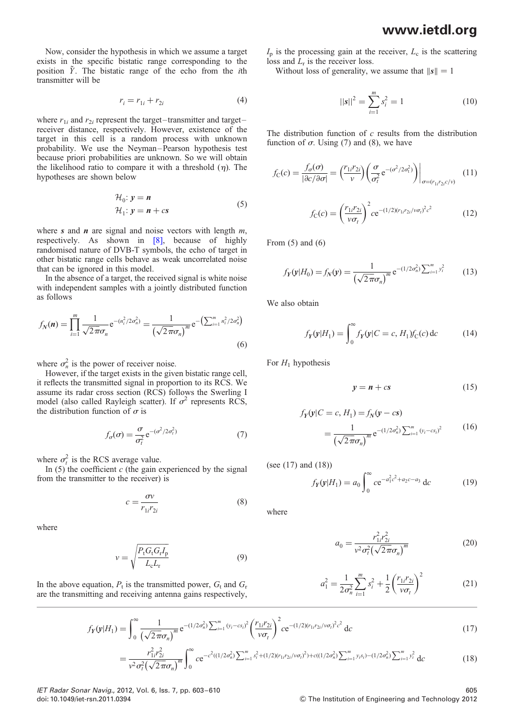Now, consider the hypothesis in which we assume a target exists in the specific bistatic range corresponding to the position  $\tilde{Y}$ . The bistatic range of the echo from the *i*th transmitter will be

$$
r_i = r_{1i} + r_{2i} \tag{4}
$$

where  $r_{1i}$  and  $r_{2i}$  represent the target-transmitter and targetreceiver distance, respectively. However, existence of the target in this cell is a random process with unknown probability. We use the Neyman–Pearson hypothesis test because priori probabilities are unknown. So we will obtain the likelihood ratio to compare it with a threshold  $(\eta)$ . The hypotheses are shown below

$$
\mathcal{H}_0: \mathbf{y} = \mathbf{n} \n\mathcal{H}_1: \mathbf{y} = \mathbf{n} + c\mathbf{s}
$$
\n(5)

where s and  $n$  are signal and noise vectors with length  $m$ , respectively. As shown in [8], because of highly randomised nature of DVB-T symbols, the echo of target in other bistatic range cells behave as weak uncorrelated noise that can be ignored in this model.

In the absence of a target, the received signal is white noise with independent samples with a jointly distributed function as follows

$$
f_N(n) = \prod_{i=1}^m \frac{1}{\sqrt{2\pi}\sigma_n} e^{-(n_i^2/2\sigma_n^2)} = \frac{1}{(\sqrt{2\pi}\sigma_n)^m} e^{-\left(\sum_{i=1}^m n_i^2/2\sigma_n^2\right)}
$$
(6)

where  $\sigma_n^2$  is the power of receiver noise.

However, if the target exists in the given bistatic range cell, it reflects the transmitted signal in proportion to its RCS. We assume its radar cross section (RCS) follows the Swerling I model (also called Rayleigh scatter). If  $\sigma^2$  represents RCS, the distribution function of  $\sigma$  is

$$
f_{\sigma}(\sigma) = \frac{\sigma}{\sigma_t^2} e^{-(\sigma^2/2\sigma_t^2)}
$$
\n(7)

where  $\sigma_t^2$  is the RCS average value.

In  $(5)$  the coefficient c (the gain experienced by the signal from the transmitter to the receiver) is

$$
c = \frac{\sigma v}{r_{1i} r_{2i}} \tag{8}
$$

where

$$
v = \sqrt{\frac{P_{\rm t} G_{\rm t} G_{\rm r} I_{\rm p}}{L_{\rm c} L_{\rm r}}} \tag{9}
$$

In the above equation,  $P_t$  is the transmitted power,  $G_t$  and  $G_r$ are the transmitting and receiving antenna gains respectively,  $I_p$  is the processing gain at the receiver,  $L_c$  is the scattering loss and  $\bar{L}_r$  is the receiver loss.

Without loss of generality, we assume that  $||s|| = 1$ 

$$
||\mathbf{s}||^2 = \sum_{i=1}^{m} s_i^2 = 1
$$
 (10)

The distribution function of  $c$  results from the distribution function of  $\sigma$ . Using (7) and (8), we have

$$
f_{\rm C}(c) = \frac{f_{\sigma}(\sigma)}{|\partial c/\partial \sigma|} = \left(\frac{r_{1i}r_{2i}}{v}\right) \left(\frac{\sigma}{\sigma_t^2} e^{-(\sigma^2/2\sigma_t^2)}\right)\Big|_{\sigma = (r_{1i}r_{2i}c/v)}
$$
(11)

$$
f_{\rm C}(c) = \left(\frac{r_{1i}r_{2i}}{\nu\sigma_t}\right)^2 c e^{-(1/2)(r_{1i}r_{2i}/\nu\sigma_t)^2 c^2}
$$
(12)

From  $(5)$  and  $(6)$ 

$$
f_Y(y|H_0) = f_N(y) = \frac{1}{(\sqrt{2\pi}\sigma_n)^m} e^{-(1/2\sigma_n^2)\sum_{i=1}^m y_i^2}
$$
 (13)

We also obtain

$$
f_Y(\mathbf{y}|H_1) = \int_0^\infty f_Y(\mathbf{y}|C = c, H_1) f_C(c) \, \mathrm{d}c \tag{14}
$$

For  $H_1$  hypothesis

$$
y = n + cs \tag{15}
$$

$$
f_Y(y|C = c, H_1) = f_N(y - cs)
$$
  
= 
$$
\frac{1}{(\sqrt{2\pi}\sigma_n)^m} e^{-(1/2\sigma_n^2)} \sum_{i=1}^m (y_i - cs_i)^2
$$
 (16)

(see (17) and (18))

$$
f_Y(\mathbf{y}|H_1) = a_0 \int_0^\infty c e^{-a_1^2 c^2 + a_2 c - a_3} \, \mathrm{d}c \tag{19}
$$

where

$$
a_0 = \frac{r_{1i}^2 r_{2i}^2}{v^2 \sigma_t^2 (\sqrt{2\pi} \sigma_n)^m}
$$
 (20)

$$
a_1^2 = \frac{1}{2\sigma_n^2} \sum_{i=1}^m s_i^2 + \frac{1}{2} \left(\frac{r_{1i}r_{2i}}{\nu \sigma_t}\right)^2
$$
 (21)

$$
f_Y(\mathbf{y}|H_1) = \int_0^\infty \frac{1}{\left(\sqrt{2\pi}\sigma_n\right)^m} e^{-\left(1/2\sigma_n^2\right)} \sum_{i=1}^m \left(\frac{v_i - c s_i}{v\sigma_t}\right)^2 \left(\frac{r_{1i} r_{2i}}{v\sigma_t}\right)^2 c e^{-\left(1/2\right)\left(r_{1i} r_{2i}/v\sigma_t\right)^2 c^2} dc
$$
\n(17)

$$
=\frac{r_{1i}^2 r_{2i}^2}{v^2 \sigma_i^2 (\sqrt{2\pi}\sigma_n)^m} \int_0^\infty c e^{-c^2((1/2\sigma_n^2) \sum_{i=1}^m s_i^2 + (1/2)(r_{1i}r_{2i}/v\sigma_i)^2) + c((1/2\sigma_n^2) \sum_{i=1}^m y_i s_i) - (1/2\sigma_n^2) \sum_{i=1}^m y_i^2} dc
$$
\n(18)

IET Radar Sonar Navig., 2012, Vol. 6, Iss. 7, pp. 603 –610 605

doi: 10.1049/iet-rsn.2011.0394 & The Institution of Engineering and Technology 2012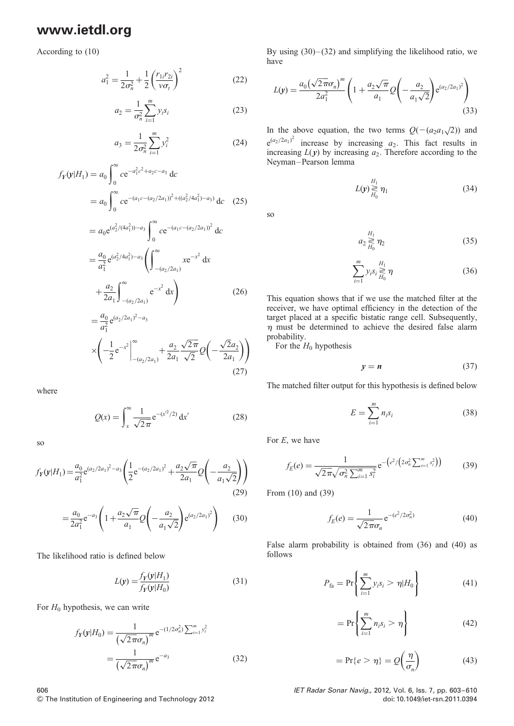According to (10)

$$
a_1^2 = \frac{1}{2\sigma_n^2} + \frac{1}{2} \left(\frac{r_{1i}r_{2i}}{\nu\sigma_t}\right)^2
$$
 (22)

$$
a_2 = \frac{1}{\sigma_n^2} \sum_{i=1}^m y_i s_i
$$
 (23)

$$
a_3 = \frac{1}{2\sigma_n^2} \sum_{i=1}^m y_i^2
$$
 (24)

$$
f_Y(y|H_1) = a_0 \int_0^\infty c e^{-a_1^2 c^2 + a_2 c - a_3} dc
$$
  
=  $a_0 \int_0^\infty c e^{-(a_1 c - (a_2/2a_1))^2 + ((a_2^2/4a_1^2) - a_3)} dc$  (25)

$$
= a_0 e^{(a_2^2/(4a_1^2)) - a_3} \int_0^\infty c e^{-(a_1 c - (a_2/2a_1))^2} dc
$$
  

$$
= \frac{a_0}{a_1^2} e^{(a_2^2/4a_1^2) - a_3} \left( \int_{-(a_2/2a_1)}^\infty x e^{-x^2} dx \right)
$$
  

$$
+ \frac{a_2}{2a_1} \int_{-(a_2/2a_1)}^\infty e^{-x^2} dx \right)
$$
(26)

$$
= \frac{a_0}{a_1^2} e^{(a_2/2a_1)^2 - a_3}
$$
  
 
$$
\times \left( -\frac{1}{2} e^{-x^2} \Big|_{-(a_2/2a_1)}^{\infty} + \frac{a_2}{2a_1} \frac{\sqrt{2\pi}}{\sqrt{2}} Q\left(-\frac{\sqrt{2}a_2}{2a_1}\right) \right)
$$
(27)

where

$$
Q(x) = \int_{x}^{\infty} \frac{1}{\sqrt{2\pi}} e^{-(x^2/2)} dx'
$$
 (28)

so

$$
f_Y(\mathbf{y}|H_1) = \frac{a_0}{a_1^2} e^{(a_2/2a_1)^2 - a_3} \left( \frac{1}{2} e^{-(a_2/2a_1)^2} + \frac{a_2\sqrt{\pi}}{2a_1} Q\left(-\frac{a_2}{a_1\sqrt{2}}\right) \right)
$$
(29)

$$
=\frac{a_0}{2a_1^2}e^{-a_3}\left(1+\frac{a_2\sqrt{\pi}}{a_1}Q\left(-\frac{a_2}{a_1\sqrt{2}}\right)e^{(a_2/2a_1)^2}\right) \quad (30)
$$

The likelihood ratio is defined below

$$
L(y) = \frac{f_Y(y|H_1)}{f_Y(y|H_0)}
$$
(31)

For  $H_0$  hypothesis, we can write

$$
f_Y(\mathbf{y}|H_0) = \frac{1}{(\sqrt{2\pi}\sigma_n)^m} e^{-(1/2\sigma_n^2)\sum_{i=1}^m y_i^2}
$$
  
= 
$$
\frac{1}{(\sqrt{2\pi}\sigma_n)^m} e^{-a_3}
$$
(32)

By using  $(30)$  –  $(32)$  and simplifying the likelihood ratio, we have

$$
L(y) = \frac{a_0(\sqrt{2\pi}\sigma_n)^m}{2a_1^2} \left(1 + \frac{a_2\sqrt{\pi}}{a_1}Q\left(-\frac{a_2}{a_1\sqrt{2}}\right)e^{(a_2/2a_1)^2}\right)
$$
(33)

In the above equation, the two terms  $Q(-(a_2a_1\sqrt{2}))$  and  $e^{(a_2/2a_1)^2}$  increase by increasing  $a_2$ . This fact results in increasing  $L(y)$  by increasing  $a_2$ . Therefore according to the Neyman–Pearson lemma

$$
L(\mathbf{y}) \gtrless_{H_0}^{H_1} \eta_1 \tag{34}
$$

so

$$
a_2 \underset{H_0}{\gtrless} \eta_2 \tag{35}
$$

$$
\sum_{i=1}^{m} y_i s_i \gtrless H_1 \atop H_0 \qquad (36)
$$

This equation shows that if we use the matched filter at the receiver, we have optimal efficiency in the detection of the target placed at a specific bistatic range cell. Subsequently,  $\eta$  must be determined to achieve the desired false alarm probability.

For the  $H_0$  hypothesis

$$
y = n \tag{37}
$$

The matched filter output for this hypothesis is defined below

$$
E = \sum_{i=1}^{m} n_i s_i \tag{38}
$$

For E, we have

$$
f_E(e) = \frac{1}{\sqrt{2\pi}\sqrt{\sigma_n^2 \sum_{i=1}^m s_i^2}} e^{-\left(e^2/\left(2\sigma_n^2 \sum_{i=1}^m s_i^2\right)\right)}
$$
(39)

From (10) and (39)

$$
f_E(e) = \frac{1}{\sqrt{2\pi}\sigma_n} e^{-(e^2/2\sigma_n^2)}
$$
(40)

False alarm probability is obtained from (36) and (40) as follows

$$
P_{\text{fa}} = \Pr\left\{\sum_{i=1}^{m} y_i s_i > \eta | H_0 \right\} \tag{41}
$$

$$
= \Pr\left\{\sum_{i=1}^{m} n_i s_i > \eta\right\} \tag{42}
$$

$$
= \Pr\{e > \eta\} = \mathcal{Q}\left(\frac{\eta}{\sigma_n}\right) \tag{43}
$$

606 IET Radar Sonar Navig., 2012, Vol. 6, Iss. 7, pp. 603 –610 & The Institution of Engineering and Technology 2012 doi: 10.1049/iet-rsn.2011.0394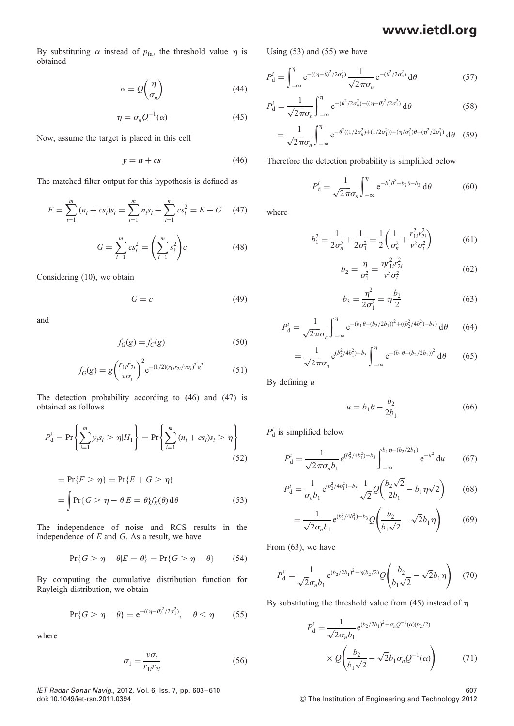By substituting  $\alpha$  instead of  $p_{fa}$ , the threshold value  $\eta$  is obtained

$$
\alpha = Q\left(\frac{\eta}{\sigma_n}\right) \tag{44}
$$

$$
\eta = \sigma_n Q^{-1}(\alpha) \tag{45}
$$

Now, assume the target is placed in this cell

$$
y = n + cs \tag{46}
$$

The matched filter output for this hypothesis is defined as

$$
F = \sum_{i=1}^{m} (n_i + cs_i)s_i = \sum_{i=1}^{m} n_i s_i + \sum_{i=1}^{m} cs_i^2 = E + G \quad (47)
$$

$$
G = \sum_{i=1}^{m} cs_i^2 = \left(\sum_{i=1}^{m} s_i^2\right)c
$$
 (48)

Considering (10), we obtain

$$
G = c \tag{49}
$$

and

$$
f_G(g) = f_C(g) \tag{50}
$$

$$
f_G(g) = g \left(\frac{r_{1i} r_{2i}}{\nu \sigma_t}\right)^2 e^{-(1/2)(r_{1i} r_{2i}/\nu \sigma_t)^2 g^2}
$$
(51)

The detection probability according to (46) and (47) is obtained as follows

$$
P_{\rm d}^i = \Pr\left\{\sum_{i=1}^m y_i s_i > \eta | H_1 \right\} = \Pr\left\{\sum_{i=1}^m (n_i + cs_i) s_i > \eta \right\} \tag{52}
$$

$$
= \Pr\{F > \eta\} = \Pr\{E + G > \eta\}
$$
\n
$$
= \int \Pr\{G > \eta - \theta | E = \theta\} f_E(\theta) \, d\theta \tag{53}
$$

The independence of noise and RCS results in the independence of  $E$  and  $G$ . As a result, we have

$$
\Pr\{G > \eta - \theta | E = \theta\} = \Pr\{G > \eta - \theta\} \tag{54}
$$

By computing the cumulative distribution function for Rayleigh distribution, we obtain

$$
\Pr\{G > \eta - \theta\} = e^{-(\eta - \theta)^2/2\sigma_1^2}, \quad \theta < \eta \tag{55}
$$

where

$$
\sigma_1 = \frac{v\sigma_t}{r_{1i}r_{2i}}\tag{56}
$$

IET Radar Sonar Navig., 2012, Vol. 6, Iss. 7, pp. 603 –610 607 doi: 10.1049/iet-rsn.2011.0394 & The Institution of Engineering and Technology 2012

Using (53) and (55) we have

$$
P_{\rm d}^i = \int_{-\infty}^{\eta} e^{-(\left(\eta - \theta\right)^2/2\sigma_1^2)} \frac{1}{\sqrt{2\pi}\sigma_n} e^{-(\theta^2/2\sigma_n^2)} \,d\theta \tag{57}
$$

$$
P_{\rm d}^{i} = \frac{1}{\sqrt{2\pi}\sigma_n} \int_{-\infty}^{\eta} e^{-(\theta^2/2\sigma_n^2) - ((\eta - \theta)^2/2\sigma_1^2)} d\theta \tag{58}
$$

$$
= \frac{1}{\sqrt{2\pi}\sigma_n} \int_{-\infty}^{\eta} e^{-\theta^2((1/2\sigma_n^2) + (1/2\sigma_1^2)) + (\eta/\sigma_1^2)\theta - (\eta^2/2\sigma_1^2)} d\theta
$$
 (59)

Therefore the detection probability is simplified below

$$
P_{\rm d}^i = \frac{1}{\sqrt{2\pi}\sigma_n} \int_{-\infty}^{\eta} e^{-b_1^2 \theta^2 + b_2 \theta - b_3} \, \mathrm{d}\theta \tag{60}
$$

where

$$
b_1^2 = \frac{1}{2\sigma_n^2} + \frac{1}{2\sigma_1^2} = \frac{1}{2} \left( \frac{1}{\sigma_n^2} + \frac{r_{1i}^2 r_{2i}^2}{v^2 \sigma_i^2} \right)
$$
(61)

$$
b_2 = \frac{\eta}{\sigma_1^2} = \frac{\eta r_{1i}^2 r_{2i}^2}{v^2 \sigma_t^2}
$$
 (62)

$$
b_3 = \frac{\eta^2}{2\sigma_1^2} = \eta \frac{b_2}{2}
$$
 (63)

$$
P_{\rm d}^{i} = \frac{1}{\sqrt{2\pi}\sigma_n} \int_{-\infty}^{\eta} e^{-(b_1\theta - (b_2/2b_1))^{2} + ((b_2^{2}/4b_1^{2}) - b_3)} d\theta \qquad (64)
$$

$$
= \frac{1}{\sqrt{2\pi}\sigma_n} e^{(b_2^2/4b_1^2) - b_3} \int_{-\infty}^{\eta} e^{-(b_1\theta - (b_2/2b_1))^2} d\theta \qquad (65)
$$

By defining  $u$ 

$$
u = b_1 \theta - \frac{b_2}{2b_1}
$$
 (66)

 $P_{d}^{i}$  is simplified below

$$
P_{\rm d}^i = \frac{1}{\sqrt{2\pi}\sigma_n b_1} e^{(b_2^2/4b_1^2) - b_3} \int_{-\infty}^{b_1 \eta - (b_2/2b_1)} e^{-u^2} \, \mathrm{d}u \qquad (67)
$$

$$
P_{\rm d}^i = \frac{1}{\sigma_n b_1} e^{(b_2^2/4b_1^2) - b_3} \frac{1}{\sqrt{2}} Q\left(\frac{b_2\sqrt{2}}{2b_1} - b_1\eta\sqrt{2}\right) \tag{68}
$$

$$
= \frac{1}{\sqrt{2}\sigma_n b_1} e^{(b_2^2/4b_1^2) - b_3} Q\left(\frac{b_2}{b_1\sqrt{2}} - \sqrt{2}b_1\eta\right)
$$
(69)

From (63), we have

$$
P_{\rm d}^{i} = \frac{1}{\sqrt{2}\sigma_n b_1} e^{(b_2/2b_1)^2 - \eta(b_2/2)} Q\left(\frac{b_2}{b_1\sqrt{2}} - \sqrt{2}b_1\eta\right) \tag{70}
$$

By substituting the threshold value from (45) instead of  $\eta$ 

$$
P_{\rm d}^{i} = \frac{1}{\sqrt{2}\sigma_n b_1} e^{(b_2/2b_1)^2 - \sigma_n Q^{-1}(\alpha)(b_2/2)}
$$

$$
\times Q\left(\frac{b_2}{b_1\sqrt{2}} - \sqrt{2}b_1\sigma_n Q^{-1}(\alpha)\right) \tag{71}
$$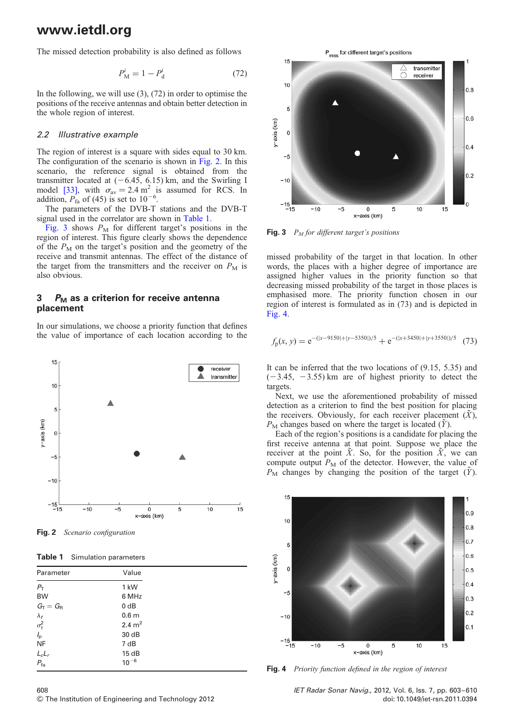The missed detection probability is also defined as follows

$$
P_{\rm M}^i = 1 - P_{\rm d}^i \tag{72}
$$

In the following, we will use (3), (72) in order to optimise the positions of the receive antennas and obtain better detection in the whole region of interest.

#### 2.2 Illustrative example

The region of interest is a square with sides equal to 30 km. The configuration of the scenario is shown in Fig. 2. In this scenario, the reference signal is obtained from the transmitter located at  $(-6.45, 6.15)$  km, and the Swirling I model [33], with  $\sigma_{av} = 2.4 \text{ m}^2$  is assumed for RCS. In addition,  $P_{\text{fa}}$  of (45) is set to 10<sup>-6</sup>.

The parameters of the DVB-T stations and the DVB-T signal used in the correlator are shown in Table 1.

Fig. 3 shows  $P_M$  for different target's positions in the region of interest. This figure clearly shows the dependence of the  $P_M$  on the target's position and the geometry of the receive and transmit antennas. The effect of the distance of the target from the transmitters and the receiver on  $P_M$  is also obvious.

### 3  $P_M$  as a criterion for receive antenna placement

In our simulations, we choose a priority function that defines the value of importance of each location according to the



Fig. 2 Scenario configuration

Table 1 Simulation parameters

| Parameter                       | Value              |
|---------------------------------|--------------------|
| $P_{\rm T}$                     | 1 kW               |
| <b>BW</b>                       | 6 MHz              |
| $G_T = G_R$                     | 0 dB               |
|                                 | 0.6 <sub>m</sub>   |
| $\frac{\lambda_f}{\sigma_t^2}$  | 2.4 m <sup>2</sup> |
| $I_{\rm p}$                     | 30 dB              |
| <b>NF</b>                       | 7 dB               |
|                                 | 15dB               |
| $\frac{L_c L_r}{P_{\text{fa}}}$ | $10^{-6}$          |

P<sub>miss</sub> for different target's positions



Fig. 3  $P_M$  for different target's positions

missed probability of the target in that location. In other words, the places with a higher degree of importance are assigned higher values in the priority function so that decreasing missed probability of the target in those places is emphasised more. The priority function chosen in our region of interest is formulated as in (73) and is depicted in Fig. 4.

$$
f_{p}(x, y) = e^{-(|x-9150|+|y-5350|)/5} + e^{-(|x+3450|+|y+3550|)/5}
$$
 (73)

It can be inferred that the two locations of (9.15, 5.35) and  $(-3.45, -3.55)$  km are of highest priority to detect the targets.

Next, we use the aforementioned probability of missed detection as a criterion to find the best position for placing the receivers. Obviously, for each receiver placement  $(X)$ ,  $P<sub>M</sub>$  changes based on where the target is located (Y).

Each of the region's positions is a candidate for placing the first receive antenna at that point. Suppose we place the receiver at the point  $\tilde{X}$ . So, for the position  $\tilde{X}$ , we can compute output  $P_M$  of the detector. However, the value of  $P_M$  changes by changing the position of the target  $(\tilde{Y})$ .



Fig. 4 Priority function defined in the region of interest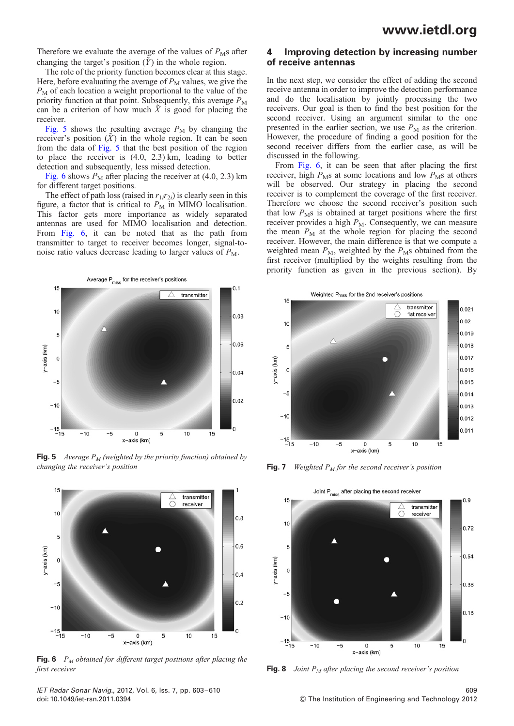Therefore we evaluate the average of the values of  $P_{\rm M}$ s after changing the target's position  $(\tilde{Y})$  in the whole region.

The role of the priority function becomes clear at this stage. Here, before evaluating the average of  $P_M$  values, we give the  $P_M$  of each location a weight proportional to the value of the priority function at that point. Subsequently, this average  $P_M$ can be a criterion of how much  $\tilde{X}$  is good for placing the receiver.

Fig. 5 shows the resulting average  $P_M$  by changing the receiver's position  $(X)$  in the whole region. It can be seen from the data of Fig. 5 that the best position of the region to place the receiver is (4.0, 2.3) km, leading to better detection and subsequently, less missed detection.

Fig. 6 shows  $P_M$  after placing the receiver at (4.0, 2.3) km for different target positions.

The effect of path loss (raised in  $r_{1i}r_{2i}$ ) is clearly seen in this figure, a factor that is critical to  $P<sub>M</sub>$  in MIMO localisation. This factor gets more importance as widely separated antennas are used for MIMO localisation and detection. From Fig. 6, it can be noted that as the path from transmitter to target to receiver becomes longer, signal-tonoise ratio values decrease leading to larger values of  $P_M$ .



**Fig. 5** Average  $P_M$  (weighted by the priority function) obtained by changing the receiver's position



**Fig. 6**  $P_M$  obtained for different target positions after placing the first receiver  $\qquad \qquad$  Fig. 8 Joint  $P_M$  after placing the second receiver's position

4 Improving detection by increasing number of receive antennas

In the next step, we consider the effect of adding the second receive antenna in order to improve the detection performance and do the localisation by jointly processing the two receivers. Our goal is then to find the best position for the second receiver. Using an argument similar to the one presented in the earlier section, we use  $P_M$  as the criterion. However, the procedure of finding a good position for the second receiver differs from the earlier case, as will be discussed in the following.

From Fig. 6, it can be seen that after placing the first receiver, high  $P<sub>M</sub>$ s at some locations and low  $P<sub>M</sub>$ s at others will be observed. Our strategy in placing the second receiver is to complement the coverage of the first receiver. Therefore we choose the second receiver's position such that low  $P<sub>M</sub>$ s is obtained at target positions where the first receiver provides a high  $P_M$ . Consequently, we can measure the mean  $P_M$  at the whole region for placing the second receiver. However, the main difference is that we compute a weighted mean  $P_M$ , weighted by the  $P_M$ s obtained from the first receiver (multiplied by the weights resulting from the priority function as given in the previous section). By



Fig. 7 Weighted  $P_M$  for the second receiver's position



IET Radar Sonar Navig., 2012, Vol. 6, Iss. 7, pp. 603 –610 609